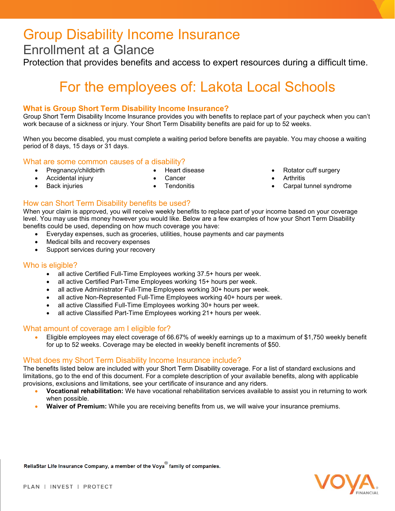## Group Disability Income Insurance

### Enrollment at a Glance

Protection that provides benefits and access to expert resources during a difficult time.

# For the employees of: Lakota Local Schools

#### **What is Group Short Term Disability Income Insurance?**

Group Short Term Disability Income Insurance provides you with benefits to replace part of your paycheck when you can't work because of a sickness or injury. Your Short Term Disability benefits are paid for up to 52 weeks.

When you become disabled, you must complete a waiting period before benefits are payable. You may choose a waiting period of 8 days, 15 days or 31 days.

What are some common causes of a disability?

- 
- 
- 
- Accidental injury Cancer Arthritis
- **Pregnancy/childbirth Heart disease Rotator cuff surgery** 
	-
	- Back injuries Tendonitis Carpal tunnel syndrome

How can Short Term Disability benefits be used? When your claim is approved, you will receive weekly benefits to replace part of your income based on your coverage level. You may use this money however you would like. Below are a few examples of how your Short Term Disability benefits could be used, depending on how much coverage you have:

- Everyday expenses, such as groceries, utilities, house payments and car payments
- Medical bills and recovery expenses
- Support services during your recovery

#### Who is eligible?

- all active Certified Full-Time Employees working 37.5+ hours per week.
- all active Certified Part-Time Employees working 15+ hours per week.
- all active Administrator Full-Time Employees working 30+ hours per week.
- all active Non-Represented Full-Time Employees working 40+ hours per week.
- all active Classified Full-Time Employees working 30+ hours per week.
- all active Classified Part-Time Employees working 21+ hours per week.

#### What amount of coverage am I eligible for?

• Eligible employees may elect coverage of 66.67% of weekly earnings up to a maximum of \$1,750 weekly benefit for up to 52 weeks. Coverage may be elected in weekly benefit increments of \$50.

#### What does my Short Term Disability Income Insurance include?

The benefits listed below are included with your Short Term Disability coverage. For a list of standard exclusions and limitations, go to the end of this document. For a complete description of your available benefits, along with applicable provisions, exclusions and limitations, see your certificate of insurance and any riders.

- **Vocational rehabilitation:** We have vocational rehabilitation services available to assist you in returning to work when possible.
- **Waiver of Premium:** While you are receiving benefits from us, we will waive your insurance premiums.

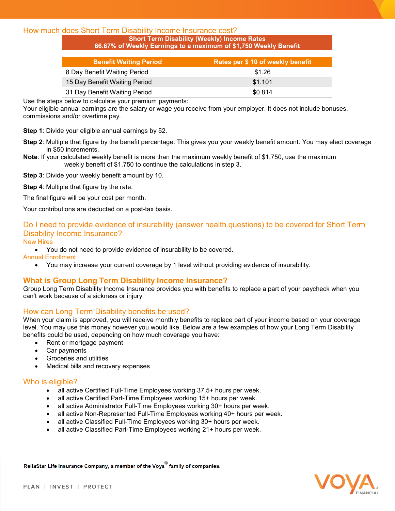#### How much does Short Term Disability Income Insurance cost?

**Short Term Disability (Weekly) Income Rates 66.67% of Weekly Earnings to a maximum of \$1,750 Weekly Benefit**

| <b>Benefit Waiting Period</b> | Rates per \$ 10 of weekly benefit |
|-------------------------------|-----------------------------------|
| 8 Day Benefit Waiting Period  | \$1.26                            |
| 15 Day Benefit Waiting Period | \$1.101                           |
| 31 Day Benefit Waiting Period | \$0.814                           |

Use the steps below to calculate your premium payments:

Your eligible annual earnings are the salary or wage you receive from your employer. It does not include bonuses, commissions and/or overtime pay.

**Step 1**: Divide your eligible annual earnings by 52.

- **Step 2**: Multiple that figure by the benefit percentage. This gives you your weekly benefit amount. You may elect coverage in \$50 increments.
- **Note**: If your calculated weekly benefit is more than the maximum weekly benefit of \$1,750, use the maximum weekly benefit of \$1,750 to continue the calculations in step 3.
- **Step 3**: Divide your weekly benefit amount by 10.
- **Step 4**: Multiple that figure by the rate.
- The final figure will be your cost per month.

Your contributions are deducted on a post-tax basis.

### Do I need to provide evidence of insurability (answer health questions) to be covered for Short Term Disability Income Insurance?

#### New Hires

• You do not need to provide evidence of insurability to be covered.

Annual Enrollment

• You may increase your current coverage by 1 level without providing evidence of insurability.

#### **What is Group Long Term Disability Income Insurance?**

Group Long Term Disability Income Insurance provides you with benefits to replace a part of your paycheck when you can't work because of a sickness or injury.

#### How can Long Term Disability benefits be used?

When your claim is approved, you will receive monthly benefits to replace part of your income based on your coverage level. You may use this money however you would like. Below are a few examples of how your Long Term Disability benefits could be used, depending on how much coverage you have:

- Rent or mortgage payment
- Car payments
- Groceries and utilities
- Medical bills and recovery expenses

#### Who is eligible?

- all active Certified Full-Time Employees working 37.5+ hours per week.
- all active Certified Part-Time Employees working 15+ hours per week.
- all active Administrator Full-Time Employees working 30+ hours per week.
- all active Non-Represented Full-Time Employees working 40+ hours per week.
- all active Classified Full-Time Employees working 30+ hours per week.
- all active Classified Part-Time Employees working 21+ hours per week.

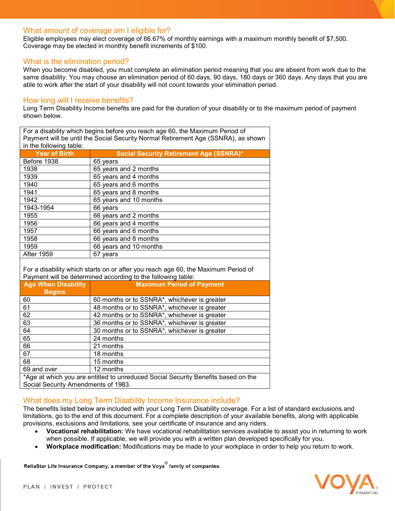#### What amount of coverage am I eligible for?

Eligible employees may elect coverage of 66.67% of monthly earnings with a maximum monthly benefit of \$7,500. Coverage may be elected in monthly benefit increments of \$100.

#### What is the elimination period?

When you become disabled, you must complete an elimination period meaning that you are absent from work due to the same disability. You may choose an elimination period of 60 days, 90 days, 180 days or 360 days. Any days that you are able to work after the start of your disability will not count towards your elimination period.

#### How long will I receive benefits?

Long Term Disability Income benefits are paid for the duration of your disability or to the maximum period of payment shown below.

For a disability which begins before you reach age 60, the Maximum Period of Payment will be until the Social Security Normal Retirement Age (SSNRA), as shown in the following table:

| <b>Year of Birth</b> | <b>Social Security Retirement Age (SSNRA)*</b> |
|----------------------|------------------------------------------------|
| Before 1938          | 65 years                                       |
| 1938                 | 65 years and 2 months                          |
| 1939                 | 65 years and 4 months                          |
| 1940                 | 65 years and 6 months                          |
| 1941                 | 65 years and 8 months                          |
| 1942                 | 65 years and 10 months                         |
| 1943-1954            | 66 years                                       |
| 1955                 | 66 years and 2 months                          |
| 1956                 | 66 years and 4 months                          |
| 1957                 | 66 years and 6 months                          |
| 1958                 | 66 years and 8 months                          |
| 1959                 | 66 years and 10 months                         |
| <b>After 1959</b>    | 67 vears                                       |

For a disability which starts on or after you reach age 60, the Maximum Period of  $\mathbf{P}$  and will be determined according to the following table:

| I a gillerik will be determined according to the following table.                 |                                              |  |
|-----------------------------------------------------------------------------------|----------------------------------------------|--|
| <b>Age When Disability</b>                                                        | <b>Maximum Period of Payment</b>             |  |
| <b>Begins</b>                                                                     |                                              |  |
| 60                                                                                | 60 months or to SSNRA*, whichever is greater |  |
| 61                                                                                | 48 months or to SSNRA*, whichever is greater |  |
| 62                                                                                | 42 months or to SSNRA*, whichever is greater |  |
| 63                                                                                | 36 months or to SSNRA*, whichever is greater |  |
| 64                                                                                | 30 months or to SSNRA*, whichever is greater |  |
| 65                                                                                | 24 months                                    |  |
| 66                                                                                | 21 months                                    |  |
| 67                                                                                | 18 months                                    |  |
| 68                                                                                | 15 months                                    |  |
| 69 and over                                                                       | 12 months                                    |  |
| *Age at which you are entitled to unreduced Social Security Benefits based on the |                                              |  |

Social Security Amendments of 1983.

#### What does my Long Term Disability Income Insurance include?

The benefits listed below are included with your Long Term Disability coverage. For a list of standard exclusions and limitations, go to the end of this document. For a complete description of your available benefits, along with applicable provisions, exclusions and limitations, see your certificate of insurance and any riders.

- **Vocational rehabilitation:** We have vocational rehabilitation services available to assist you in returning to work when possible. If applicable, we will provide you with a written plan developed specifically for you.
- **Workplace modification:** Modifications may be made to your workplace in order to help you return to work.

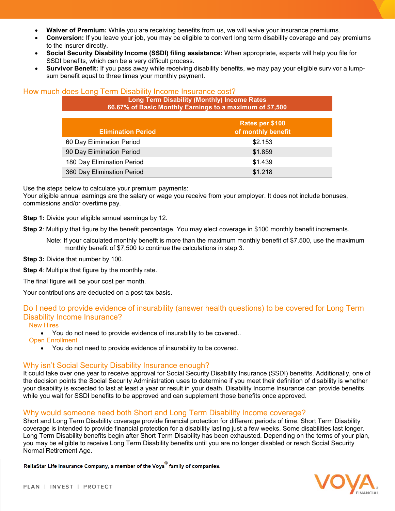- **Waiver of Premium:** While you are receiving benefits from us, we will waive your insurance premiums.
- **Conversion:** If you leave your job, you may be eligible to convert long term disability coverage and pay premiums to the insurer directly.
- **Social Security Disability Income (SSDI) filing assistance:** When appropriate, experts will help you file for SSDI benefits, which can be a very difficult process.
- **Survivor Benefit:** If you pass away while receiving disability benefits, we may pay your eligible survivor a lumpsum benefit equal to three times your monthly payment.

#### How much does Long Term Disability Income Insurance cost?

**Long Term Disability (Monthly) Income Rates 66.67% of Basic Monthly Earnings to a maximum of \$7,500**

| <b>Elimination Period</b>  | Rates per \$100<br>of monthly benefit |
|----------------------------|---------------------------------------|
| 60 Day Elimination Period  | \$2.153                               |
| 90 Day Elimination Period  | \$1.859                               |
| 180 Day Elimination Period | \$1.439                               |
| 360 Day Elimination Period | \$1.218                               |

Use the steps below to calculate your premium payments:

Your eligible annual earnings are the salary or wage you receive from your employer. It does not include bonuses, commissions and/or overtime pay.

**Step 1:** Divide your eligible annual earnings by 12.

**Step 2**: Multiply that figure by the benefit percentage. You may elect coverage in \$100 monthly benefit increments.

Note: If your calculated monthly benefit is more than the maximum monthly benefit of \$7,500, use the maximum monthly benefit of \$7,500 to continue the calculations in step 3.

**Step 3:** Divide that number by 100.

**Step 4:** Multiple that figure by the monthly rate.

The final figure will be your cost per month.

Your contributions are deducted on a post-tax basis.

#### Do I need to provide evidence of insurability (answer health questions) to be covered for Long Term Disability Income Insurance?

New Hires

• You do not need to provide evidence of insurability to be covered..

Open Enrollment

• You do not need to provide evidence of insurability to be covered.

#### Why isn't Social Security Disability Insurance enough?

It could take over one year to receive approval for Social Security Disability Insurance (SSDI) benefits. Additionally, one of the decision points the Social Security Administration uses to determine if you meet their definition of disability is whether your disability is expected to last at least a year or result in your death. Disability Income Insurance can provide benefits while you wait for SSDI benefits to be approved and can supplement those benefits once approved.

#### Why would someone need both Short and Long Term Disability Income coverage?

Short and Long Term Disability coverage provide financial protection for different periods of time. Short Term Disability coverage is intended to provide financial protection for a disability lasting just a few weeks. Some disabilities last longer. Long Term Disability benefits begin after Short Term Disability has been exhausted. Depending on the terms of your plan, you may be eligible to receive Long Term Disability benefits until you are no longer disabled or reach Social Security Normal Retirement Age.

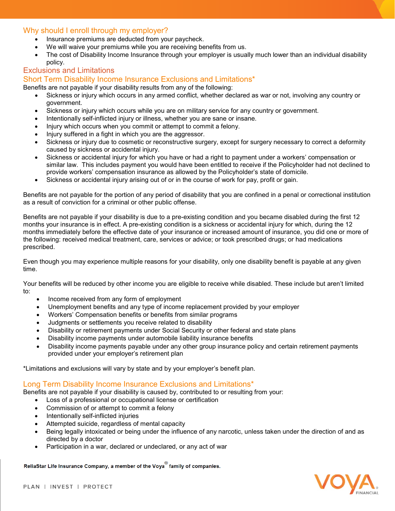#### Why should I enroll through my employer?

- Insurance premiums are deducted from your paycheck.
- We will waive your premiums while you are receiving benefits from us.
- The cost of Disability Income Insurance through your employer is usually much lower than an individual disability policy.

#### Exclusions and Limitations

#### Short Term Disability Income Insurance Exclusions and Limitations\*

Benefits are not payable if your disability results from any of the following:

- Sickness or injury which occurs in any armed conflict, whether declared as war or not, involving any country or government.
- Sickness or injury which occurs while you are on military service for any country or government.
- Intentionally self-inflicted injury or illness, whether you are sane or insane.
- Injury which occurs when you commit or attempt to commit a felony.
- Injury suffered in a fight in which you are the aggressor.
- Sickness or injury due to cosmetic or reconstructive surgery, except for surgery necessary to correct a deformity caused by sickness or accidental injury.
- Sickness or accidental injury for which you have or had a right to payment under a workers' compensation or similar law. This includes payment you would have been entitled to receive if the Policyholder had not declined to provide workers' compensation insurance as allowed by the Policyholder's state of domicile.
- Sickness or accidental injury arising out of or in the course of work for pay, profit or gain.

Benefits are not payable for the portion of any period of disability that you are confined in a penal or correctional institution as a result of conviction for a criminal or other public offense.

Benefits are not payable if your disability is due to a pre-existing condition and you became disabled during the first 12 months your insurance is in effect. A pre-existing condition is a sickness or accidental injury for which, during the 12 months immediately before the effective date of your insurance or increased amount of insurance, you did one or more of the following: received medical treatment, care, services or advice; or took prescribed drugs; or had medications prescribed.

Even though you may experience multiple reasons for your disability, only one disability benefit is payable at any given time.

Your benefits will be reduced by other income you are eligible to receive while disabled. These include but aren't limited to:

- Income received from any form of employment
- Unemployment benefits and any type of income replacement provided by your employer
- Workers' Compensation benefits or benefits from similar programs
- Judgments or settlements you receive related to disability
- Disability or retirement payments under Social Security or other federal and state plans
- Disability income payments under automobile liability insurance benefits
- Disability income payments payable under any other group insurance policy and certain retirement payments provided under your employer's retirement plan

\*Limitations and exclusions will vary by state and by your employer's benefit plan.

#### Long Term Disability Income Insurance Exclusions and Limitations\*

Benefits are not payable if your disability is caused by, contributed to or resulting from your:

- Loss of a professional or occupational license or certification
- Commission of or attempt to commit a felony
- Intentionally self-inflicted injuries
- Attempted suicide, regardless of mental capacity
- Being legally intoxicated or being under the influence of any narcotic, unless taken under the direction of and as directed by a doctor
- Participation in a war, declared or undeclared, or any act of war